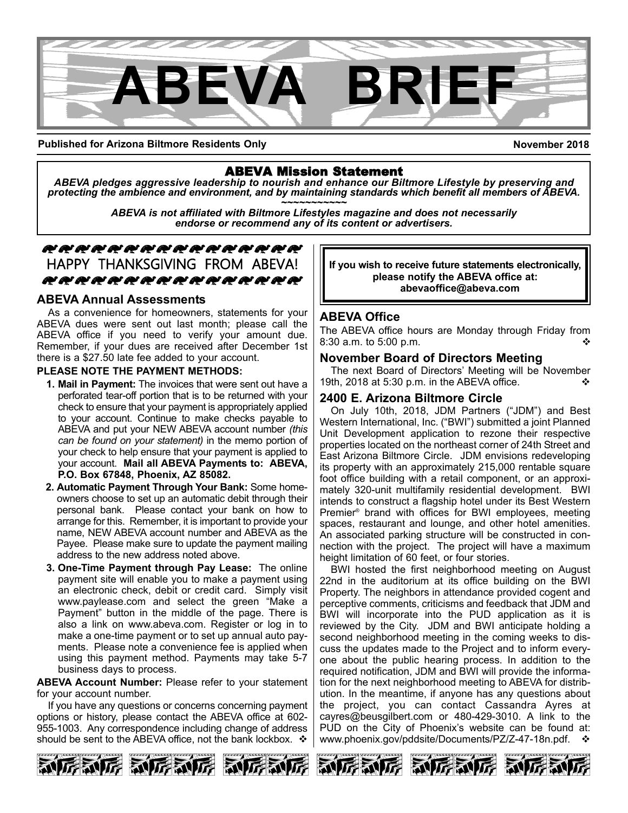

**Published for Arizona Biltmore Residents Only**

**November 2018**

ABEVA Mission Statement *ABEVA pledges aggressive leadership to nourish and enhance our Biltmore Lifestyle by preserving and* protecting the ambience and environment, and by maintaining standards which benefit all members of ABEVA.<br>ABEVA is not affiliated with Biltmore Lifestyles magazine and does not necessarily

*endorse or recommend any of its content or advertisers.*

## zzzzzzzzzzzzzzzz HAPPY THANKSGIVING FROM ABEVA! zzzzzzzzzzzzzzzz

#### **ABEVA Annual Assessments**

As a convenience for homeowners, statements for your ABEVA dues were sent out last month; please call the ABEVA office if you need to verify your amount due. Remember, if your dues are received after December 1st there is a \$27.50 late fee added to your account.

#### **PLEASE NOTE THE PAYMENT METHODS:**

- **1. Mail in Payment:** The invoices that were sent out have a perforated tear-off portion that is to be returned with your check to ensure that your payment is appropriately applied to your account. Continue to make checks payable to ABEVA and put your NEW ABEVA account number *(this can be found on your statement)* in the memo portion of your check to help ensure that your payment is applied to your account. **Mail all ABEVA Payments to: ABEVA, P.O. Box 67848, Phoenix, AZ 85082.**
- **2. Automatic Payment Through Your Bank:** Some homeowners choose to set up an automatic debit through their personal bank. Please contact your bank on how to arrange for this. Remember, it is important to provide your name, NEW ABEVA account number and ABEVA as the Payee. Please make sure to update the payment mailing address to the new address noted above.
- **3. One-Time Payment through Pay Lease:** The online payment site will enable you to make a payment using an electronic check, debit or credit card. Simply visit www.paylease.com and select the green "Make a Payment" button in the middle of the page. There is also a link on www.abeva.com. Register or log in to make a one-time payment or to set up annual auto payments. Please note a convenience fee is applied when using this payment method. Payments may take 5-7 business days to process.

**ABEVA Account Number:** Please refer to your statement for your account number.

If you have any questions or concerns concerning payment options or history, please contact the ABEVA office at 602- 955-1003. Any correspondence including change of address should be sent to the ABEVA office, not the bank lockbox.  $\cdot$ 

**If you wish to receive future statements electronically, please notify the ABEVA office at: abevaoffice@abeva.com**

### **ABEVA Office**

The ABEVA office hours are Monday through Friday from 8:30 a.m. to  $5:00$  p.m.

#### **November Board of Directors Meeting**

The next Board of Directors' Meeting will be November 19th, 2018 at 5:30 p.m. in the ABEVA office.

### **2400 E. Arizona Biltmore Circle**

On July 10th, 2018, JDM Partners ("JDM") and Best Western International, Inc. ("BWI") submitted a joint Planned Unit Development application to rezone their respective properties located on the northeast corner of 24th Street and East Arizona Biltmore Circle. JDM envisions redeveloping its property with an approximately 215,000 rentable square foot office building with a retail component, or an approximately 320-unit multifamily residential development. BWI intends to construct a flagship hotel under its Best Western Premier ® brand with offices for BWI employees, meeting spaces, restaurant and lounge, and other hotel amenities. An associated parking structure will be constructed in connection with the project. The project will have a maximum height limitation of 60 feet, or four stories.

BWI hosted the first neighborhood meeting on August 22nd in the auditorium at its office building on the BWI Property. The neighbors in attendance provided cogent and perceptive comments, criticisms and feedback that JDM and BWI will incorporate into the PUD application as it is reviewed by the City. JDM and BWI anticipate holding a second neighborhood meeting in the coming weeks to discuss the updates made to the Project and to inform everyone about the public hearing process. In addition to the required notification, JDM and BWI will provide the information for the next neighborhood meeting to ABEVA for distribution. In the meantime, if anyone has any questions about the project, you can contact Cassandra Ayres at cayres@beusgilbert.com or 480-429-3010. A link to the PUD on the City of Phoenix's website can be found at: www.phoenix.gov/pddsite/Documents/PZ/Z-47-18n.pdf.

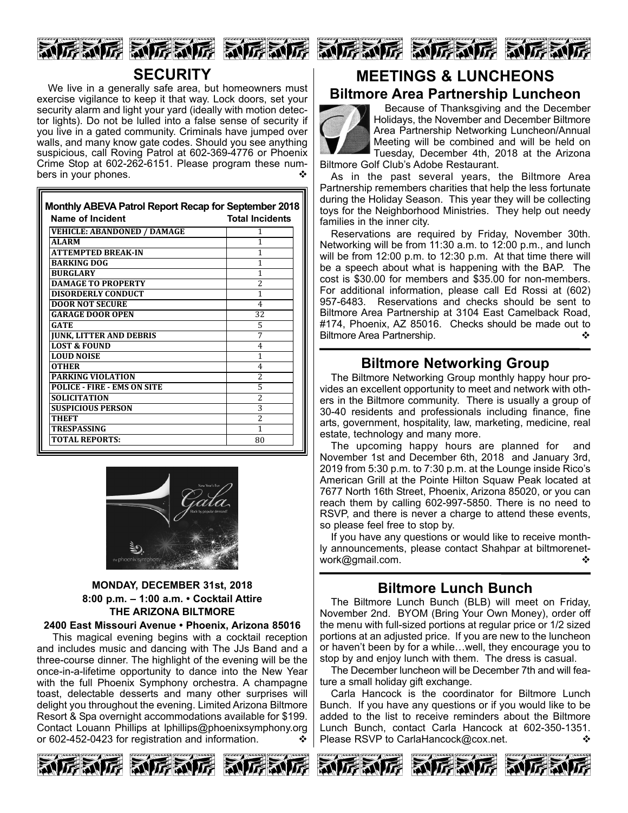





We live in a generally safe area, but homeowners must exercise vigilance to keep it that way. Lock doors, set your security alarm and light your yard (ideally with motion detector lights). Do not be lulled into a false sense of security if you live in a gated community. Criminals have jumped over walls, and many know gate codes. Should you see anything suspicious, call Roving Patrol at 602-369-4776 or Phoenix Crime Stop at 602-262-6151. Please program these numbers in your phones.

| Monthly ABEVA Patrol Report Recap for September 2018<br><b>Name of Incident</b> | <b>Total Incidents</b>   |
|---------------------------------------------------------------------------------|--------------------------|
| VEHICLE: ABANDONED / DAMAGE                                                     | 1                        |
| <b>ALARM</b>                                                                    | 1                        |
| <b>ATTEMPTED BREAK-IN</b>                                                       | 1                        |
| <b>BARKING DOG</b>                                                              | 1                        |
| <b>BURGLARY</b>                                                                 | 1                        |
| <b>DAMAGE TO PROPERTY</b>                                                       | 2                        |
| <b>DISORDERLY CONDUCT</b>                                                       | 1                        |
| <b>DOOR NOT SECURE</b>                                                          | 4                        |
| <b>GARAGE DOOR OPEN</b>                                                         | 32                       |
| <b>GATE</b>                                                                     | 5                        |
| <b>JUNK, LITTER AND DEBRIS</b>                                                  | 7                        |
| <b>LOST &amp; FOUND</b>                                                         | 4                        |
| <b>LOUD NOISE</b>                                                               | 1                        |
| <b>OTHER</b>                                                                    | 4                        |
| <b>PARKING VIOLATION</b>                                                        | 2                        |
| <b>POLICE - FIRE - EMS ON SITE</b>                                              | 5                        |
| <b>SOLICITATION</b>                                                             | 2                        |
| <b>SUSPICIOUS PERSON</b>                                                        | 3                        |
| THEFT                                                                           | $\overline{\mathcal{L}}$ |
| TRESPASSING                                                                     | 1                        |
| <b>TOTAL REPORTS:</b>                                                           | 80                       |



#### **MONDAY, DECEMBER 31st, 2018 8:00 p.m. – 1:00 a.m. • Cocktail Attire THE ARIZONA BILTMORE**

#### **2400 East Missouri Avenue • Phoenix, Arizona 85016**

This magical evening begins with a cocktail reception and includes music and dancing with The JJs Band and a three-course dinner. The highlight of the evening will be the once-in-a-lifetime opportunity to dance into the New Year with the full Phoenix Symphony orchestra. A champagne toast, delectable desserts and many other surprises will delight you throughout the evening. Limited Arizona Biltmore Resort & Spa overnight accommodations available for \$199. Contact Louann Phillips at lphillips@phoenixsymphony.org or 602-452-0423 for registration and information.  $\cdot$ 







# **MEETINGS & LUNCHEONS**

# **Biltmore Area Partnership Luncheon**



Because of Thanksgiving and the December Holidays, the November and December Biltmore Area Partnership Networking Luncheon/Annual Meeting will be combined and will be held on Tuesday, December 4th, 2018 at the Arizona Biltmore Golf Club's Adobe Restaurant.

As in the past several years, the Biltmore Area Partnership remembers charities that help the less fortunate during the Holiday Season. This year they will be collecting toys for the Neighborhood Ministries. They help out needy families in the inner city.

Reservations are required by Friday, November 30th. Networking will be from 11:30 a.m. to 12:00 p.m., and lunch will be from 12:00 p.m. to 12:30 p.m. At that time there will be a speech about what is happening with the BAP. The cost is \$30.00 for members and \$35.00 for non-members. For additional information, please call Ed Rossi at (602) 957-6483. Reservations and checks should be sent to Biltmore Area Partnership at 3104 East Camelback Road, #174, Phoenix, AZ 85016. Checks should be made out to Biltmore Area Partnership. v

# **Biltmore Networking Group**

The Biltmore Networking Group monthly happy hour provides an excellent opportunity to meet and network with others in the Biltmore community. There is usually a group of 30-40 residents and professionals including finance, fine arts, government, hospitality, law, marketing, medicine, real estate, technology and many more.

The upcoming happy hours are planned for and November 1st and December 6th, 2018 and January 3rd, 2019 from 5:30 p.m. to 7:30 p.m. at the Lounge inside Rico's American Grill at the Pointe Hilton Squaw Peak located at 7677 North 16th Street, Phoenix, Arizona 85020, or you can reach them by calling 602-997-5850. There is no need to RSVP, and there is never a charge to attend these events, so please feel free to stop by.

If you have any questions or would like to receive monthly announcements, please contact Shahpar at biltmorenetwork@gmail.com. v

# **Biltmore Lunch Bunch**

The Biltmore Lunch Bunch (BLB) will meet on Friday, November 2nd. BYOM (Bring Your Own Money), order off the menu with full-sized portions at regular price or 1/2 sized portions at an adjusted price. If you are new to the luncheon or haven't been by for a while…well, they encourage you to stop by and enjoy lunch with them. The dress is casual.

The December luncheon will be December 7th and will feature a small holiday gift exchange.

Carla Hancock is the coordinator for Biltmore Lunch Bunch. If you have any questions or if you would like to be added to the list to receive reminders about the Biltmore Lunch Bunch, contact Carla Hancock at 602-350-1351. Please RSVP to CarlaHancock@cox.net. v  $\diamond$ 

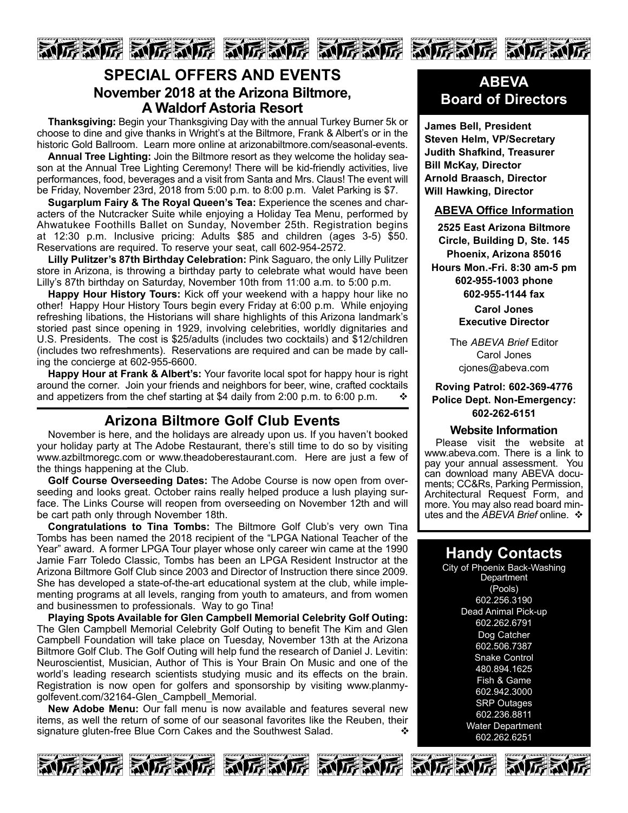

# **SPECIAL OFFERS AND EVENTS November 2018 at the Arizona Biltmore, A Waldorf Astoria Resort**

**Thanksgiving:** Begin your Thanksgiving Day with the annual Turkey Burner 5k or choose to dine and give thanks in Wright's at the Biltmore, Frank & Albert's or in the historic Gold Ballroom. Learn more online at arizonabiltmore.com/seasonal-events.

**Annual Tree Lighting:** Join the Biltmore resort as they welcome the holiday season at the Annual Tree Lighting Ceremony! There will be kid-friendly activities, live performances, food, beverages and a visit from Santa and Mrs. Claus! The event will be Friday, November 23rd, 2018 from 5:00 p.m. to 8:00 p.m. Valet Parking is \$7.

**Sugarplum Fairy & The Royal Queen's Tea:** Experience the scenes and characters of the Nutcracker Suite while enjoying a Holiday Tea Menu, performed by Ahwatukee Foothills Ballet on Sunday, November 25th. Registration begins at 12:30 p.m. Inclusive pricing: Adults \$85 and children (ages 3-5) \$50. Reservations are required. To reserve your seat, call 602-954-2572.

**Lilly Pulitzer's 87th Birthday Celebration:** Pink Saguaro, the only Lilly Pulitzer store in Arizona, is throwing a birthday party to celebrate what would have been Lilly's 87th birthday on Saturday, November 10th from 11:00 a.m. to 5:00 p.m.

**Happy Hour History Tours:** Kick off your weekend with a happy hour like no other! Happy Hour History Tours begin every Friday at 6:00 p.m. While enjoying refreshing libations, the Historians will share highlights of this Arizona landmark's storied past since opening in 1929, involving celebrities, worldly dignitaries and U.S. Presidents. The cost is \$25/adults (includes two cocktails) and \$12/children (includes two refreshments). Reservations are required and can be made by calling the concierge at 602-955-6600.

**Happy Hour at Frank & Albert's:** Your favorite local spot for happy hour is right around the corner. Join your friends and neighbors for beer, wine, crafted cocktails and appetizers from the chef starting at \$4 daily from 2:00 p.m. to 6:00 p.m.  $\cdot\cdot\cdot$ 

# **Arizona Biltmore Golf Club Events**

November is here, and the holidays are already upon us. If you haven't booked your holiday party at The Adobe Restaurant, there's still time to do so by visiting www.azbiltmoregc.com or www.theadoberestaurant.com. Here are just a few of the things happening at the Club.

**Golf Course Overseeding Dates:** The Adobe Course is now open from overseeding and looks great. October rains really helped produce a lush playing surface. The Links Course will reopen from overseeding on November 12th and will be cart path only through November 18th.

**Congratulations to Tina Tombs:** The Biltmore Golf Club's very own Tina Tombs has been named the 2018 recipient of the "LPGA National Teacher of the Year" award. A former LPGA Tour player whose only career win came at the 1990 Jamie Farr Toledo Classic, Tombs has been an LPGA Resident Instructor at the Arizona Biltmore Golf Club since 2003 and Director of Instruction there since 2009. She has developed a state-of-the-art educational system at the club, while implementing programs at all levels, ranging from youth to amateurs, and from women and businessmen to professionals. Way to go Tina!

**Playing Spots Available for Glen Campbell Memorial Celebrity Golf Outing:** The Glen Campbell Memorial Celebrity Golf Outing to benefit The Kim and Glen Campbell Foundation will take place on Tuesday, November 13th at the Arizona Biltmore Golf Club. The Golf Outing will help fund the research of Daniel J. Levitin: Neuroscientist, Musician, Author of This is Your Brain On Music and one of the world's leading research scientists studying music and its effects on the brain. Registration is now open for golfers and sponsorship by visiting www.planmygolfevent.com/32164-Glen\_Campbell\_Memorial.

**New Adobe Menu:** Our fall menu is now available and features several new items, as well the return of some of our seasonal favorites like the Reuben, their signature gluten-free Blue Corn Cakes and the Southwest Salad.  $\bullet$ 

# **ABEVA Board of Directors**

**James Bell, President Steven Helm, VP/Secretary Judith Shafkind, Treasurer Bill McKay, Director Arnold Braasch, Director Will Hawking, Director**

#### **ABEVA Office Information**

**2525 East Arizona Biltmore Circle, Building D, Ste. 145 Phoenix, Arizona 85016 Hours Mon.-Fri. 8:30 am-5 pm 602-955-1003 phone 602-955-1144 fax**

> **Carol Jones Executive Director**

The *ABEVA Brief* Editor Carol Jones cjones@abeva.com

**Roving Patrol: 602-369-4776 Police Dept. Non-Emergency: 602-262-6151**

#### **Website Information**

Please visit the website at www.abeva.com. There is a link to pay your annual assessment. You can download many ABEVA documents; CC&Rs, Parking Permission, Architectural Request Form, and more. You may also read board minutes and the *ABEVA Brief* online. ❖

# **Handy Contacts**

City of Phoenix Back-Washing **Department** (Pools) 602.256.3190 Dead Animal Pick-up 602.262.6791 Dog Catcher 602.506.7387 Snake Control 480.894.1625 Fish & Game 602.942.3000 SRP Outages 602.236.8811 Water Department 602.262.6251